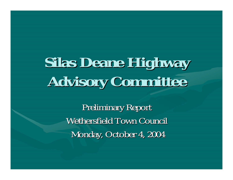# **Silas Deane Highway Advisory Committee Advisory Committee**

**Preliminary Report** Wethersfield Town Council Monday, October 4, 2004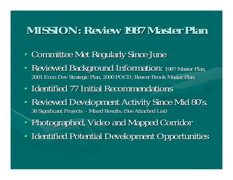#### **MISSION: Review 1987 Master Plan MISSION: Review 1987 Master Plan**

- •• Committee Met Regularly Since June
- •• Reviewed Background Information: 1987 Master Plan, 2001 Econ Dev Strategic Plan, 2000 POCD, Beaver Brook Master Plan.
- •• Identified 77 Initial Recommendations
- •• Reviewed Development Activity Since Mid 80's. 38 Significant Projects 38 Significant Projects - Mixed Results. (See Attached List)
- •• Photographed, Video and Mapped Corridor
- •• Identified Potential Development Opportunities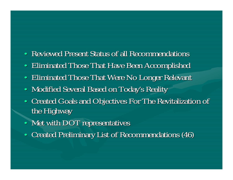- $\bullet$ Reviewed Present Status of all Recommendations
- $\bullet$ Eliminated Those That Have Been Accomplished
- $\bullet$ Eliminated Those That Were No Longer Relevant
- $\bullet$ Modified Several Based on Today's Reality
- $\bullet~$  Created Goals and Objectives For The Revitalization of the Highway
- Met with  $\rm{DOT}$  representatives
- $\bullet$ Created Preliminary List of Recommendations (46) Created Preliminary List of Recommendations (46)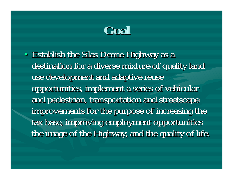**Goal**

•• Establish the Silas Deane Highway as a destination for a diverse mixture of quality land use development and adaptive reuse opportunities, implement a series of vehicular and pedestrian, transportation and streetscape improvements for the purpose of increasing the tax base, improving employment opportunities the image of the Highway, and the quality of life.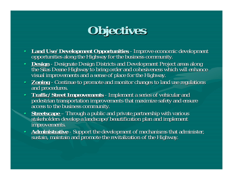## **Objectives Objectives**

- **Land Use/Development Opportunities Land Use/Development Opportunities**  Land Use/Development Opportunities - Improve economic development<br>opportunities along the Highway for the business community.
- **Design** -<u>Design</u> - Designate Design Districts and Development Project areas along<br>the Silas Deane Highway to bring order and cohesiveness which will enhance<br>visual improvements and a sense of place for the Highway.
- **Zoning -**<u>Zonin</u>g - Continue to promote and monitor changes to land use regulations<br>and procedures.
- **Traffic/Street Improvements Traffic/Street Improvements** pedestrian transportation improvements that maximize safety and ensure access to the business community.
- •**•** Streetscape stakeholders develop a landscape/beautification plan and implement improvements.
- **Administrative** -<u>Administrative</u> - Support the development of mechanisms that administer,<br>sustain, maintain and promote the revitalization of the Highway.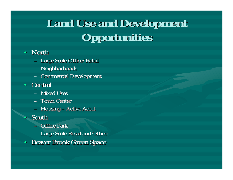### **Land Use and Development Land Use and Development Opportunities Opportunities**

#### • North

- Large Scale Office/Retail
- Neighborhoods
- Commercial Development
- Central
	- Mixed Uses
	- Town Center
	- $-$  Housing  $\overline{\phantom{a}}$ – Active Adult
- South

•

- Office Park
- Large Scale Retail and Office
- $\bullet$ Beaver Brook Green Space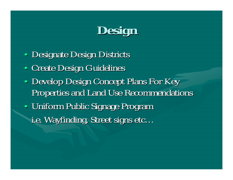

• Designate Design Districts •• Create Design Guidelines •• Develop Design Concept Plans For Key Properties and Land Use Recommendations •• Uniform Public Signage Program i.e. Wayfinding, Street signs etc...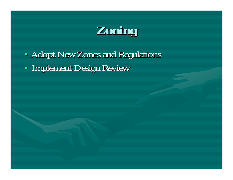**Zoning**

•• Adopt New Zones and Regulations •• Implement Design Review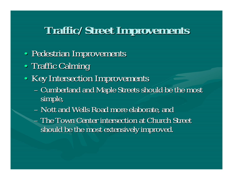#### **Traffic/Street Improvements Traffic/Street Improvements**

- •• Pedestrian Improvements
- •• Traffic Calming
- Key Intersection Improvements
	- Cumberland and Maple Streets should be the most simple,
	- Nott and Wells Road more elaborate, and
	- The Town Center intersection at Church Street should be the most extensively improved.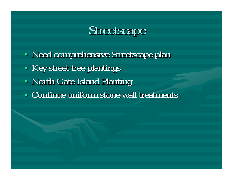### Streetscape

•• Need comprehensive Streetscape plan •• Key street tree plantings •• North Gate Island Planting •• Continue uniform stone wall treatments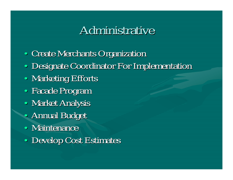### Administrative

- •• Create Merchants Organization
- •• Designate Coordinator For Implementation
- •• Marketing Efforts
- •• Facade Program
- •• Market Analysis
- •• Annual Budget
- Maintenance
- •• Develop Cost Estimates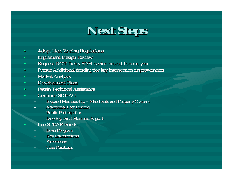### **Next Steps Next Steps**

- •Adopt New Zoning Regulations
- •Implement Design Review Implement Design Review
- •Request DOT Delay SDH paving project for one year
- •Pursue Additional funding for key intersection improvements
- •**Market Analysis**
- •Development Plans
- •• Retain Technical Assistance
- •• Continue SDHAC
	- Expand Membership Merchants and Property Owners
	- Additional Fact Finding
	- **Public Participation**
	- Develop Final Plan and Report
- Use STEAP Funds

•

- Loan Program
- –Key Intersections
- Streetscape
- **Tree Plantings**